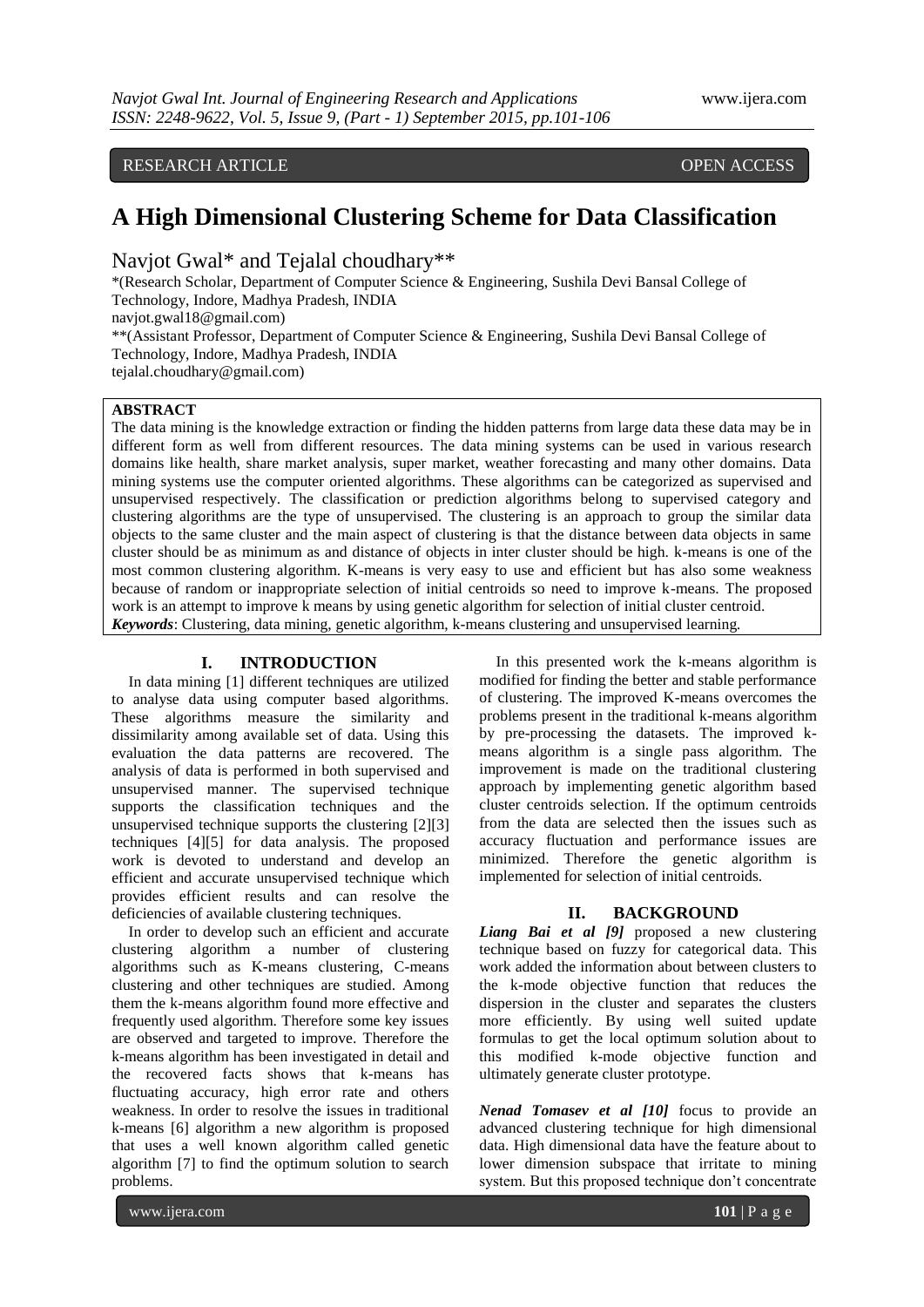RESEARCH ARTICLE **CONTRACT ARTICLE** AND A SERVICE OPEN ACCESS

# **A High Dimensional Clustering Scheme for Data Classification**

Navjot Gwal\* and Tejalal choudhary\*\*

\*(Research Scholar, Department of Computer Science & Engineering, Sushila Devi Bansal College of Technology, Indore, Madhya Pradesh, INDIA navjot.gwal18@gmail.com) \*\*(Assistant Professor, Department of Computer Science & Engineering, Sushila Devi Bansal College of Technology, Indore, Madhya Pradesh, INDIA [tejalal.choudhary@gmail.com\)](mailto:tejalal.choudhary%40gmail.com)

**ABSTRACT**

The data mining is the knowledge extraction or finding the hidden patterns from large data these data may be in different form as well from different resources. The data mining systems can be used in various research domains like health, share market analysis, super market, weather forecasting and many other domains. Data mining systems use the computer oriented algorithms. These algorithms can be categorized as supervised and unsupervised respectively. The classification or prediction algorithms belong to supervised category and clustering algorithms are the type of unsupervised. The clustering is an approach to group the similar data objects to the same cluster and the main aspect of clustering is that the distance between data objects in same cluster should be as minimum as and distance of objects in inter cluster should be high. k-means is one of the most common clustering algorithm. K-means is very easy to use and efficient but has also some weakness because of random or inappropriate selection of initial centroids so need to improve k-means. The proposed work is an attempt to improve k means by using genetic algorithm for selection of initial cluster centroid. *Keywords*: Clustering, data mining, genetic algorithm, k-means clustering and unsupervised learning*.*

# **I. INTRODUCTION**

In data mining [1] different techniques are utilized to analyse data using computer based algorithms. These algorithms measure the similarity and dissimilarity among available set of data. Using this evaluation the data patterns are recovered. The analysis of data is performed in both supervised and unsupervised manner. The supervised technique supports the classification techniques and the unsupervised technique supports the clustering [2][3] techniques [4][5] for data analysis. The proposed work is devoted to understand and develop an efficient and accurate unsupervised technique which provides efficient results and can resolve the deficiencies of available clustering techniques.

In order to develop such an efficient and accurate clustering algorithm a number of clustering algorithms such as K-means clustering, C-means clustering and other techniques are studied. Among them the k-means algorithm found more effective and frequently used algorithm. Therefore some key issues are observed and targeted to improve. Therefore the k-means algorithm has been investigated in detail and the recovered facts shows that k-means has fluctuating accuracy, high error rate and others weakness. In order to resolve the issues in traditional k-means [6] algorithm a new algorithm is proposed that uses a well known algorithm called genetic algorithm [7] to find the optimum solution to search problems.

In this presented work the k-means algorithm is modified for finding the better and stable performance of clustering. The improved K-means overcomes the problems present in the traditional k-means algorithm by pre-processing the datasets. The improved kmeans algorithm is a single pass algorithm. The improvement is made on the traditional clustering approach by implementing genetic algorithm based cluster centroids selection. If the optimum centroids from the data are selected then the issues such as accuracy fluctuation and performance issues are minimized. Therefore the genetic algorithm is implemented for selection of initial centroids.

# **II. BACKGROUND**

*Liang Bai et al [9]* proposed a new clustering technique based on fuzzy for categorical data. This work added the information about between clusters to the k-mode objective function that reduces the dispersion in the cluster and separates the clusters more efficiently. By using well suited update formulas to get the local optimum solution about to this modified k-mode objective function and ultimately generate cluster prototype.

*Nenad Tomasev et al [10]* focus to provide an advanced clustering technique for high dimensional data. High dimensional data have the feature about to lower dimension subspace that irritate to mining system. But this proposed technique don't concentrate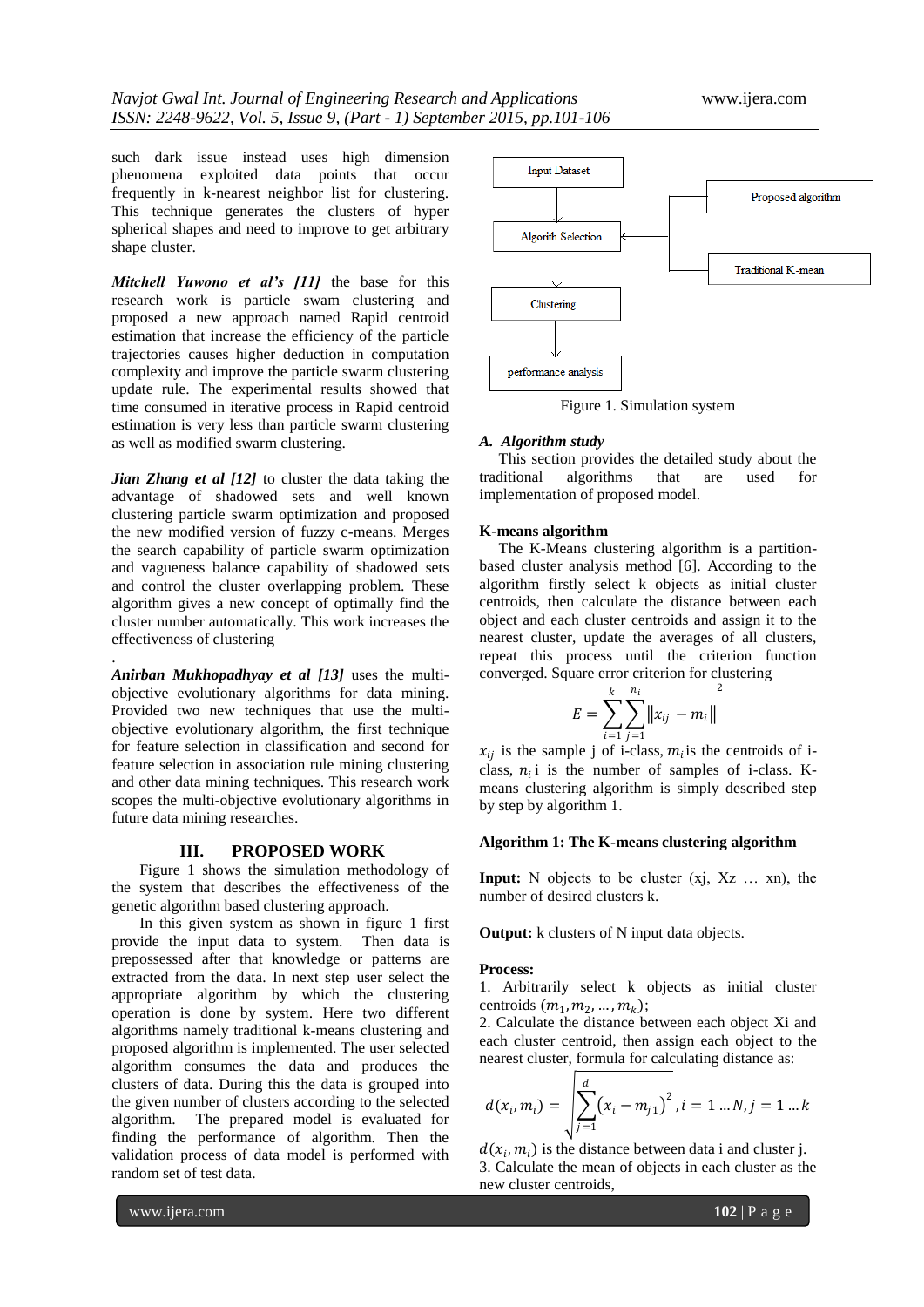such dark issue instead uses high dimension phenomena exploited data points that occur frequently in k-nearest neighbor list for clustering. This technique generates the clusters of hyper spherical shapes and need to improve to get arbitrary shape cluster.

*Mitchell Yuwono et al's [11]* the base for this research work is particle swam clustering and proposed a new approach named Rapid centroid estimation that increase the efficiency of the particle trajectories causes higher deduction in computation complexity and improve the particle swarm clustering update rule. The experimental results showed that time consumed in iterative process in Rapid centroid estimation is very less than particle swarm clustering as well as modified swarm clustering.

*Jian Zhang et al [12]* to cluster the data taking the advantage of shadowed sets and well known clustering particle swarm optimization and proposed the new modified version of fuzzy c-means. Merges the search capability of particle swarm optimization and vagueness balance capability of shadowed sets and control the cluster overlapping problem. These algorithm gives a new concept of optimally find the cluster number automatically. This work increases the effectiveness of clustering

*Anirban Mukhopadhyay et al [13]* uses the multiobjective evolutionary algorithms for data mining. Provided two new techniques that use the multiobjective evolutionary algorithm, the first technique for feature selection in classification and second for feature selection in association rule mining clustering and other data mining techniques. This research work scopes the multi-objective evolutionary algorithms in future data mining researches.

### **III. PROPOSED WORK**

Figure 1 shows the simulation methodology of the system that describes the effectiveness of the genetic algorithm based clustering approach.

In this given system as shown in figure 1 first provide the input data to system. Then data is prepossessed after that knowledge or patterns are extracted from the data. In next step user select the appropriate algorithm by which the clustering operation is done by system. Here two different algorithms namely traditional k-means clustering and proposed algorithm is implemented. The user selected algorithm consumes the data and produces the clusters of data. During this the data is grouped into the given number of clusters according to the selected algorithm. The prepared model is evaluated for finding the performance of algorithm. Then the validation process of data model is performed with random set of test data.



Figure 1. Simulation system

### *A. Algorithm study*

 This section provides the detailed study about the traditional algorithms that are used for implementation of proposed model.

### **K-means algorithm**

 The K-Means clustering algorithm is a partitionbased cluster analysis method [6]. According to the algorithm firstly select k objects as initial cluster centroids, then calculate the distance between each object and each cluster centroids and assign it to the nearest cluster, update the averages of all clusters, repeat this process until the criterion function converged. Square error criterion for clustering

$$
E = \sum_{i=1}^{k} \sum_{j=1}^{n_i} ||x_{ij} - m_i||^2
$$

 $x_{ij}$  is the sample j of i-class,  $m_i$  is the centroids of iclass,  $n_i$  i is the number of samples of i-class. Kmeans clustering algorithm is simply described step by step by algorithm 1.

# **Algorithm 1: The K-means clustering algorithm**

**Input:** N objects to be cluster (xj, Xz … xn), the number of desired clusters k.

**Output:** k clusters of N input data objects.

#### **Process:**

1. Arbitrarily select k objects as initial cluster centroids  $(m_1, m_2, ..., m_k);$ 

2. Calculate the distance between each object Xi and each cluster centroid, then assign each object to the nearest cluster, formula for calculating distance as:

$$
d(x_i, m_i) = \sqrt{\sum_{j=1}^d (x_i - m_{j1})^2}, i = 1...N, j = 1...k
$$

 $d(x_i, m_i)$  is the distance between data i and cluster j. 3. Calculate the mean of objects in each cluster as the new cluster centroids,

www.ijera.com **102** | P a g e

.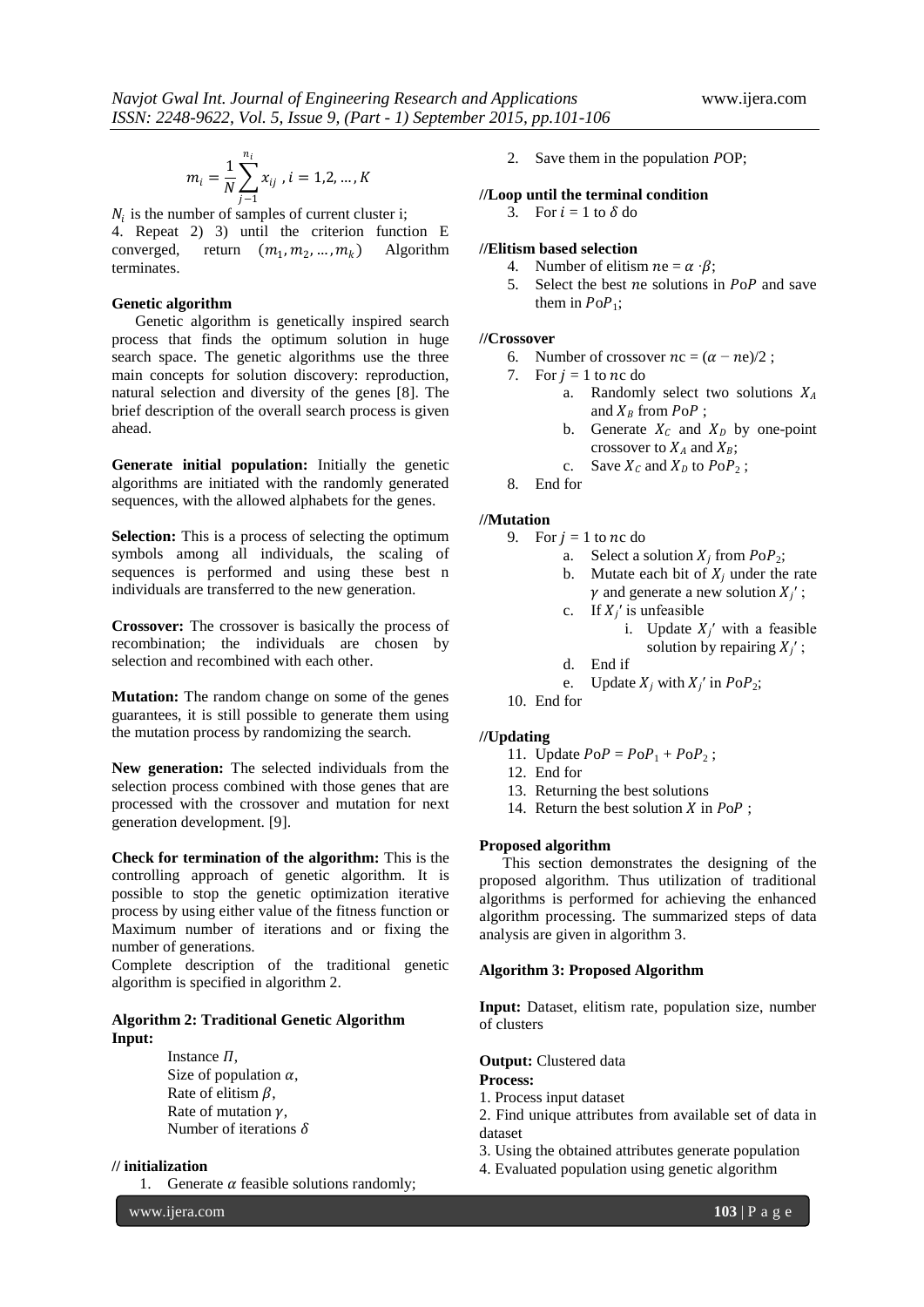$$
m_i = \frac{1}{N} \sum_{j=1}^{n_i} x_{ij}, i = 1, 2, ..., K
$$

 $N_i$  is the number of samples of current cluster i; 4. Repeat 2) 3) until the criterion function E converged, return  $(m_1, m_2, ..., m_k)$  Algorithm terminates.

### **Genetic algorithm**

 Genetic algorithm is genetically inspired search process that finds the optimum solution in huge search space. The genetic algorithms use the three main concepts for solution discovery: reproduction, natural selection and diversity of the genes [8]. The brief description of the overall search process is given ahead.

**Generate initial population:** Initially the genetic algorithms are initiated with the randomly generated sequences, with the allowed alphabets for the genes.

**Selection:** This is a process of selecting the optimum symbols among all individuals, the scaling of sequences is performed and using these best n individuals are transferred to the new generation.

**Crossover:** The crossover is basically the process of recombination; the individuals are chosen by selection and recombined with each other.

**Mutation:** The random change on some of the genes guarantees, it is still possible to generate them using the mutation process by randomizing the search.

**New generation:** The selected individuals from the selection process combined with those genes that are processed with the crossover and mutation for next generation development. [9].

**Check for termination of the algorithm:** This is the controlling approach of genetic algorithm. It is possible to stop the genetic optimization iterative process by using either value of the fitness function or Maximum number of iterations and or fixing the number of generations.

Complete description of the traditional genetic algorithm is specified in algorithm 2.

# **Algorithm 2: Traditional Genetic Algorithm Input:**

Instance  $\Pi$ , Size of population  $\alpha$ , Rate of elitism  $\beta$ , Rate of mutation  $\nu$ , Number of iterations  $\delta$ 

# **// initialization**

1. Generate  $\alpha$  feasible solutions randomly;

2. Save them in the population POP;

# **//Loop until the terminal condition**

3. For  $i = 1$  to  $\delta$  do

# **//Elitism based selection**

- 4. Number of elitism  $ne = \alpha \cdot \beta$ :
- 5. Select the best *ne* solutions in  $PoP$  and save them in  $PoP_1$ ;

### **//Crossover**

- 6. Number of crossover  $nc = (\alpha ne)/2$ ;
- 7. For  $i = 1$  to nc do
	- a. Randomly select two solutions  $X_A$ and  $X_B$  from  $PoP$ ;
		- b. Generate  $X_c$  and  $X_p$  by one-point crossover to  $X_A$  and  $X_B$ ;
	- c. Save  $X_c$  and  $X_D$  to  $PoP_2$ ;
- 8. End for

# **//Mutation**

- 9. For  $i = 1$  to nc do
	- a. Select a solution  $X_i$  from  $PoP_2$ ;
	- b. Mutate each bit of  $X_i$  under the rate  $\gamma$  and generate a new solution  $X_i'$ ;
	- c. If  $X_i'$  is unfeasible
		- i. Update  $X_i'$  with a feasible solution by repairing  $X_i'$ ;
	- d. End if
		- e. Update  $X_i$  with  $X'_i$  in  $PoP_2$ ;
- 10. End for

# **//Updating**

11. Update 
$$
P \circ P = P \circ P_1 + P \circ P_2
$$
;

- 12. End for
- 13. Returning the best solutions
- 14. Return the best solution  $X$  in  $PoP$ ;

# **Proposed algorithm**

 This section demonstrates the designing of the proposed algorithm. Thus utilization of traditional algorithms is performed for achieving the enhanced algorithm processing. The summarized steps of data analysis are given in algorithm 3.

### **Algorithm 3: Proposed Algorithm**

**Input:** Dataset, elitism rate, population size, number of clusters

**Output:** Clustered data

### **Process:**

- 1. Process input dataset
- 2. Find unique attributes from available set of data in dataset
- 3. Using the obtained attributes generate population
- 4. Evaluated population using genetic algorithm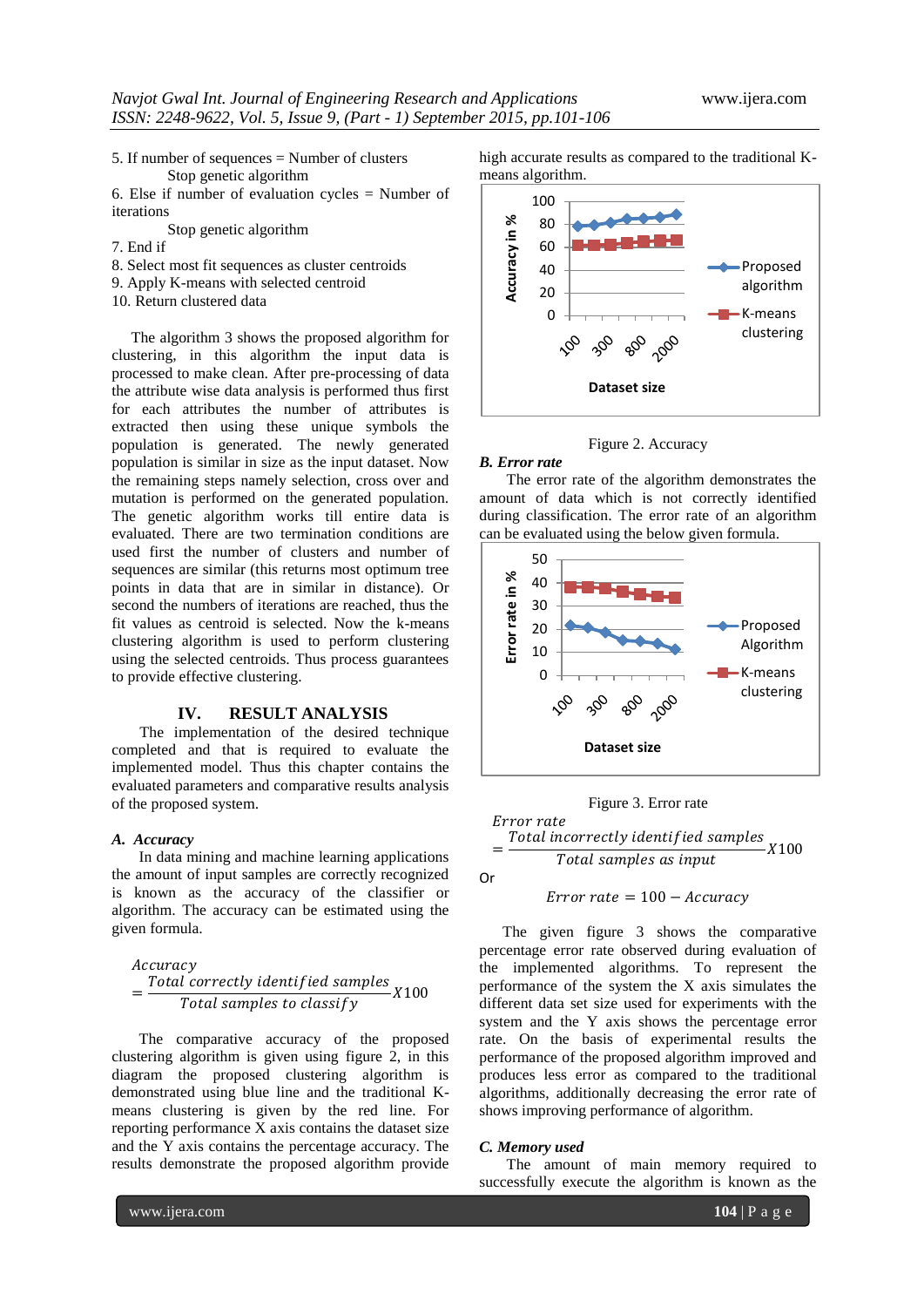5. If number of sequences = Number of clusters Stop genetic algorithm

6. Else if number of evaluation cycles = Number of iterations

Stop genetic algorithm

- 7. End if
- 8. Select most fit sequences as cluster centroids
- 9. Apply K-means with selected centroid

10. Return clustered data

 The algorithm 3 shows the proposed algorithm for clustering, in this algorithm the input data is processed to make clean. After pre-processing of data the attribute wise data analysis is performed thus first for each attributes the number of attributes is extracted then using these unique symbols the population is generated. The newly generated population is similar in size as the input dataset. Now the remaining steps namely selection, cross over and mutation is performed on the generated population. The genetic algorithm works till entire data is evaluated. There are two termination conditions are used first the number of clusters and number of sequences are similar (this returns most optimum tree points in data that are in similar in distance). Or second the numbers of iterations are reached, thus the fit values as centroid is selected. Now the k-means clustering algorithm is used to perform clustering using the selected centroids. Thus process guarantees to provide effective clustering.

# **IV. RESULT ANALYSIS**

The implementation of the desired technique completed and that is required to evaluate the implemented model. Thus this chapter contains the evaluated parameters and comparative results analysis of the proposed system.

### *A. Accuracy*

 In data mining and machine learning applications the amount of input samples are correctly recognized is known as the accuracy of the classifier or algorithm. The accuracy can be estimated using the given formula.

#### Accuracy

$$
=\frac{Total \ correctly \ identified \ samples}{Total \ samples \ to \ classify}
$$
X100

 The comparative accuracy of the proposed clustering algorithm is given using figure 2, in this diagram the proposed clustering algorithm is demonstrated using blue line and the traditional Kmeans clustering is given by the red line. For reporting performance X axis contains the dataset size and the Y axis contains the percentage accuracy. The results demonstrate the proposed algorithm provide

high accurate results as compared to the traditional Kmeans algorithm.





#### *B. Error rate*

 The error rate of the algorithm demonstrates the amount of data which is not correctly identified during classification. The error rate of an algorithm can be evaluated using the below given formula.





 $Error\ rate = 100 - Accuracy$ 

 The given figure 3 shows the comparative percentage error rate observed during evaluation of the implemented algorithms. To represent the performance of the system the X axis simulates the different data set size used for experiments with the system and the Y axis shows the percentage error rate. On the basis of experimental results the performance of the proposed algorithm improved and produces less error as compared to the traditional algorithms, additionally decreasing the error rate of shows improving performance of algorithm.

# *C. Memory used*

 The amount of main memory required to successfully execute the algorithm is known as the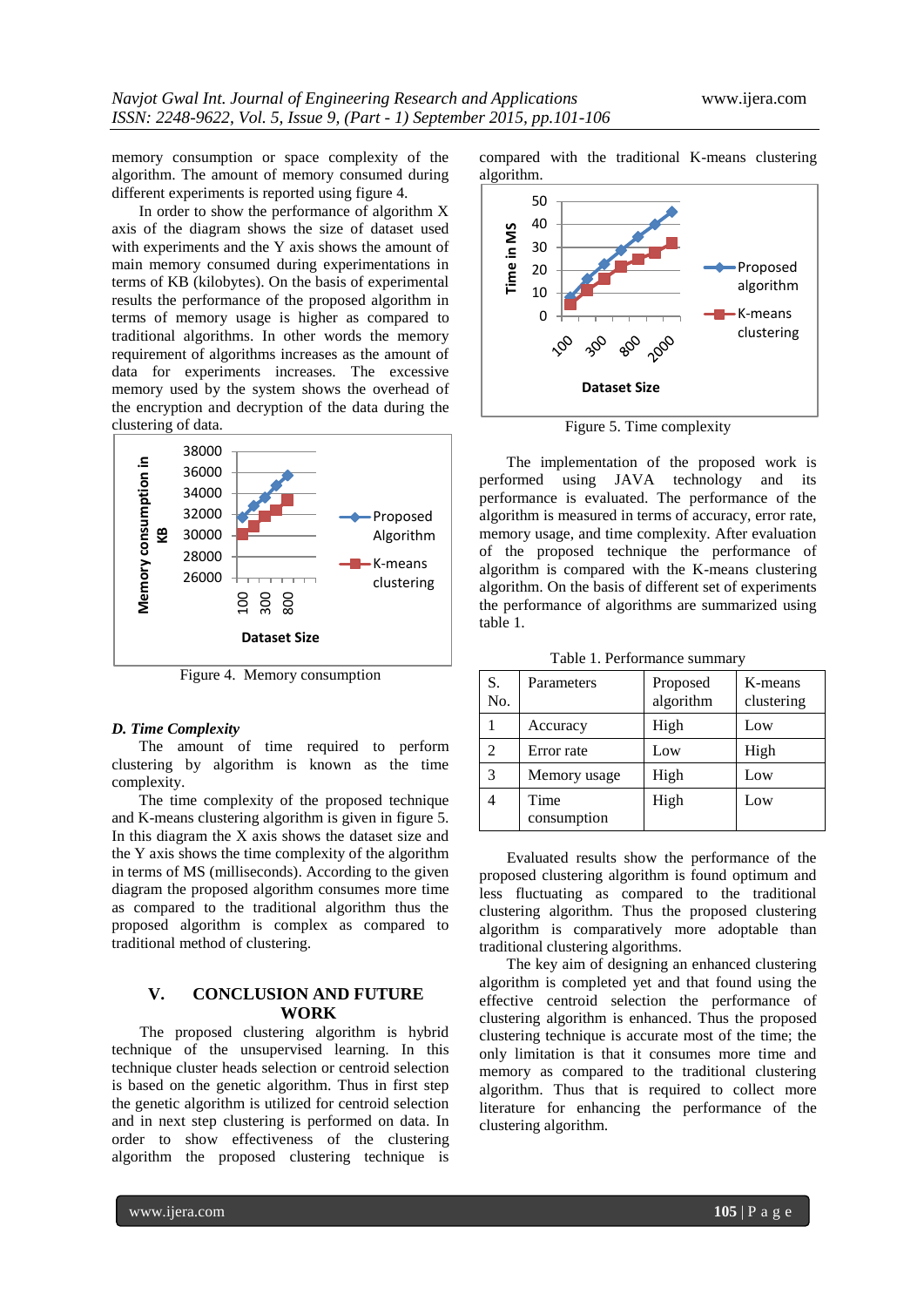memory consumption or space complexity of the algorithm. The amount of memory consumed during different experiments is reported using figure 4.

 In order to show the performance of algorithm X axis of the diagram shows the size of dataset used with experiments and the Y axis shows the amount of main memory consumed during experimentations in terms of KB (kilobytes). On the basis of experimental results the performance of the proposed algorithm in terms of memory usage is higher as compared to traditional algorithms. In other words the memory requirement of algorithms increases as the amount of data for experiments increases. The excessive memory used by the system shows the overhead of the encryption and decryption of the data during the clustering of data.



Figure 4. Memory consumption

### *D. Time Complexity*

 The amount of time required to perform clustering by algorithm is known as the time complexity.

 The time complexity of the proposed technique and K-means clustering algorithm is given in figure 5. In this diagram the X axis shows the dataset size and the Y axis shows the time complexity of the algorithm in terms of MS (milliseconds). According to the given diagram the proposed algorithm consumes more time as compared to the traditional algorithm thus the proposed algorithm is complex as compared to traditional method of clustering.

# **V. CONCLUSION AND FUTURE WORK**

The proposed clustering algorithm is hybrid technique of the unsupervised learning. In this technique cluster heads selection or centroid selection is based on the genetic algorithm. Thus in first step the genetic algorithm is utilized for centroid selection and in next step clustering is performed on data. In order to show effectiveness of the clustering algorithm the proposed clustering technique is compared with the traditional K-means clustering algorithm.



Figure 5. Time complexity

 The implementation of the proposed work is performed using JAVA technology and its performance is evaluated. The performance of the algorithm is measured in terms of accuracy, error rate, memory usage, and time complexity. After evaluation of the proposed technique the performance of algorithm is compared with the K-means clustering algorithm. On the basis of different set of experiments the performance of algorithms are summarized using table 1.

Table 1. Performance summary

| S.<br>No.      | Parameters          | Proposed<br>algorithm | K-means<br>clustering |
|----------------|---------------------|-----------------------|-----------------------|
|                | Accuracy            | High                  | Low                   |
| $\mathfrak{D}$ | Error rate          | Low                   | High                  |
| 3              | Memory usage        | High                  | Low                   |
|                | Time<br>consumption | High                  | Low                   |

 Evaluated results show the performance of the proposed clustering algorithm is found optimum and less fluctuating as compared to the traditional clustering algorithm. Thus the proposed clustering algorithm is comparatively more adoptable than traditional clustering algorithms.

 The key aim of designing an enhanced clustering algorithm is completed yet and that found using the effective centroid selection the performance of clustering algorithm is enhanced. Thus the proposed clustering technique is accurate most of the time; the only limitation is that it consumes more time and memory as compared to the traditional clustering algorithm. Thus that is required to collect more literature for enhancing the performance of the clustering algorithm.